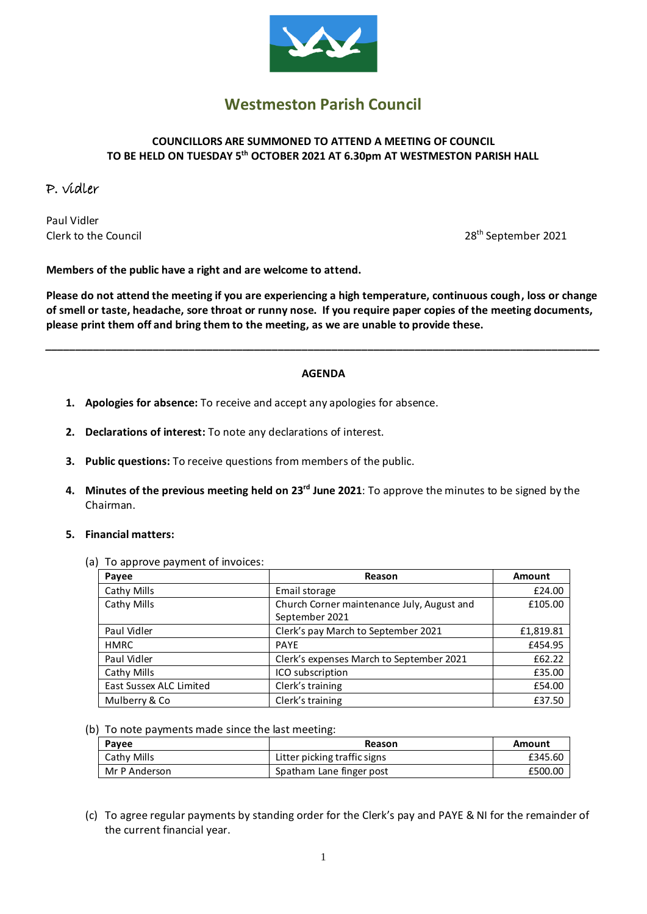

# **Westmeston Parish Council**

# **COUNCILLORS ARE SUMMONED TO ATTEND A MEETING OF COUNCIL TO BE HELD ON TUESDAY 5 th OCTOBER 2021 AT 6.30pm AT WESTMESTON PARISH HALL**

# P. vidler

Paul Vidler Clerk to the Council

28<sup>th</sup> September 2021

**Members of the public have a right and are welcome to attend.**

**Please do not attend the meeting if you are experiencing a high temperature, continuous cough, loss or change of smell or taste, headache, sore throat or runny nose. If you require paper copies of the meeting documents, please print them off and bring them to the meeting, as we are unable to provide these.**

#### **AGENDA**

*\_\_\_\_\_\_\_\_\_\_\_\_\_\_\_\_\_\_\_\_\_\_\_\_\_\_\_\_\_\_\_\_\_\_\_\_\_\_\_\_\_\_\_\_\_\_\_\_\_\_\_\_\_\_\_\_\_\_\_\_\_\_\_\_\_\_\_\_\_\_\_\_\_\_\_\_\_\_\_\_\_\_\_\_\_\_\_\_\_\_\_\_\_*

- **1. Apologies for absence:** To receive and accept any apologies for absence.
- **2. Declarations of interest:** To note any declarations of interest.
- **3. Public questions:** To receive questions from members of the public.
- **4. Minutes of the previous meeting held on 23rd June 2021**: To approve the minutes to be signed by the Chairman.

#### **5. Financial matters:**

(a) To approve payment of invoices:

| Payee                   | Reason                                                       | Amount    |
|-------------------------|--------------------------------------------------------------|-----------|
| Cathy Mills             | Email storage                                                | £24.00    |
| Cathy Mills             | Church Corner maintenance July, August and<br>September 2021 | £105.00   |
| Paul Vidler             | Clerk's pay March to September 2021                          | £1,819.81 |
| <b>HMRC</b>             | <b>PAYF</b>                                                  | £454.95   |
| Paul Vidler             | Clerk's expenses March to September 2021                     | £62.22    |
| Cathy Mills             | ICO subscription                                             | £35.00    |
| East Sussex ALC Limited | Clerk's training                                             | £54.00    |
| Mulberry & Co           | Clerk's training                                             | £37.50    |

(b) To note payments made since the last meeting:

| Pavee         | Reason                       | Amount  |
|---------------|------------------------------|---------|
| Cathy Mills   | Litter picking traffic signs | £345.60 |
| Mr P Anderson | Spatham Lane finger post     | £500.00 |

(c) To agree regular payments by standing order for the Clerk's pay and PAYE & NI for the remainder of the current financial year.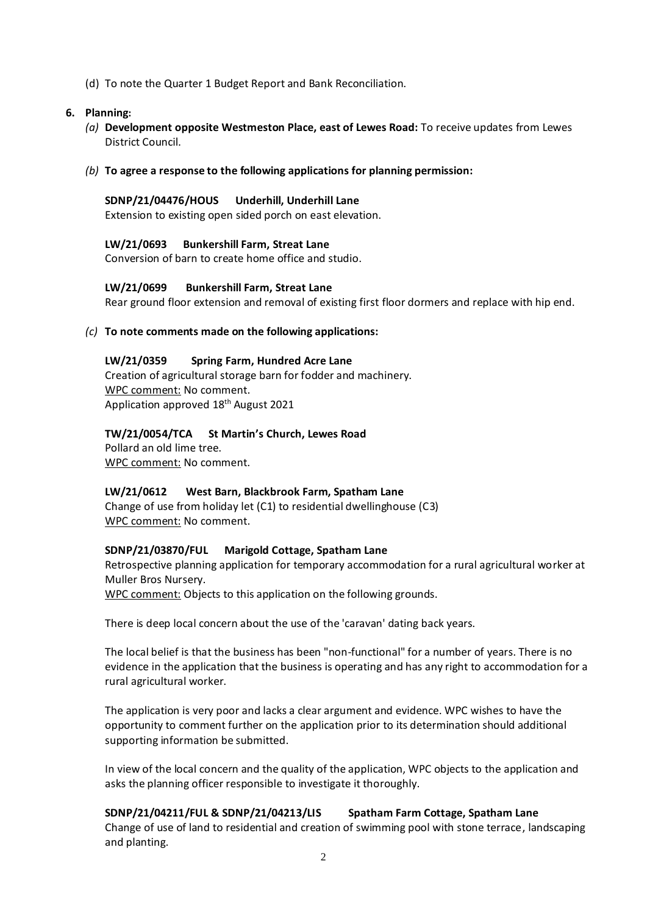(d) To note the Quarter 1 Budget Report and Bank Reconciliation.

#### **6. Planning:**

- *(a)* **Development opposite Westmeston Place, east of Lewes Road:** To receive updates from Lewes District Council.
- *(b)* **To agree a response to the following applications for planning permission:**

#### **SDNP/21/04476/HOUS Underhill, Underhill Lane**

Extension to existing open sided porch on east elevation.

**LW/21/0693 Bunkershill Farm, Streat Lane** Conversion of barn to create home office and studio.

# **LW/21/0699 Bunkershill Farm, Streat Lane**

Rear ground floor extension and removal of existing first floor dormers and replace with hip end.

# *(c)* **To note comments made on the following applications:**

# **LW/21/0359 Spring Farm, Hundred Acre Lane**

Creation of agricultural storage barn for fodder and machinery. WPC comment: No comment. Application approved 18<sup>th</sup> August 2021

# **TW/21/0054/TCA St Martin's Church, Lewes Road**

Pollard an old lime tree. WPC comment: No comment.

#### **LW/21/0612 West Barn, Blackbrook Farm, Spatham Lane**

Change of use from holiday let (C1) to residential dwellinghouse (C3) WPC comment: No comment.

#### **SDNP/21/03870/FUL Marigold Cottage, Spatham Lane**

Retrospective planning application for temporary accommodation for a rural agricultural worker at Muller Bros Nursery.

WPC comment: Objects to this application on the following grounds.

There is deep local concern about the use of the 'caravan' dating back years.

The local belief is that the business has been "non-functional" for a number of years. There is no evidence in the application that the business is operating and has any right to accommodation for a rural agricultural worker.

The application is very poor and lacks a clear argument and evidence. WPC wishes to have the opportunity to comment further on the application prior to its determination should additional supporting information be submitted.

In view of the local concern and the quality of the application, WPC objects to the application and asks the planning officer responsible to investigate it thoroughly.

# **SDNP/21/04211/FUL & SDNP/21/04213/LIS Spatham Farm Cottage, Spatham Lane**

Change of use of land to residential and creation of swimming pool with stone terrace, landscaping and planting.